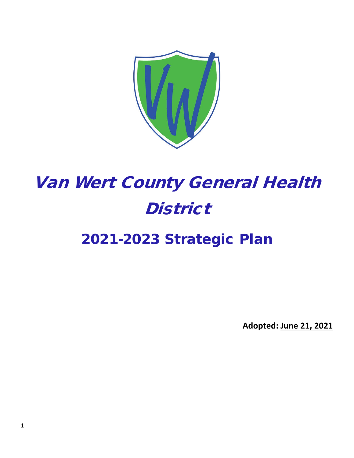

# Van Wert County General Health **District**

# 2021-2023 Strategic Plan

**Adopted: June 21, 2021**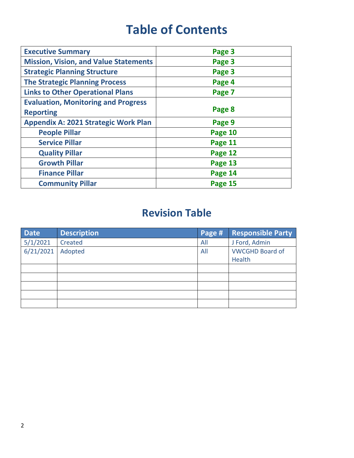# **Table of Contents**

| <b>Executive Summary</b>                     | Page 3  |
|----------------------------------------------|---------|
| <b>Mission, Vision, and Value Statements</b> | Page 3  |
| <b>Strategic Planning Structure</b>          | Page 3  |
| <b>The Strategic Planning Process</b>        | Page 4  |
| <b>Links to Other Operational Plans</b>      | Page 7  |
| <b>Evaluation, Monitoring and Progress</b>   |         |
| <b>Reporting</b>                             | Page 8  |
| <b>Appendix A: 2021 Strategic Work Plan</b>  | Page 9  |
| <b>People Pillar</b>                         | Page 10 |
| <b>Service Pillar</b>                        | Page 11 |
| <b>Quality Pillar</b>                        | Page 12 |
| <b>Growth Pillar</b>                         | Page 13 |
| <b>Finance Pillar</b>                        | Page 14 |
| <b>Community Pillar</b>                      | Page 15 |

# **Revision Table**

| <b>Date</b> | <b>Description</b> | Page # | <b>Responsible Party</b> |
|-------------|--------------------|--------|--------------------------|
| 5/1/2021    | Created            | All    | J Ford, Admin            |
| 6/21/2021   | Adopted            | All    | <b>VWCGHD Board of</b>   |
|             |                    |        | Health                   |
|             |                    |        |                          |
|             |                    |        |                          |
|             |                    |        |                          |
|             |                    |        |                          |
|             |                    |        |                          |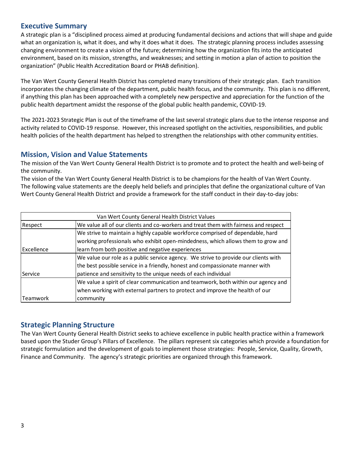## **Executive Summary**

A strategic plan is a "disciplined process aimed at producing fundamental decisions and actions that will shape and guide what an organization is, what it does, and why it does what it does. The strategic planning process includes assessing changing environment to create a vision of the future; determining how the organization fits into the anticipated environment, based on its mission, strengths, and weaknesses; and setting in motion a plan of action to position the organization" (Public Health Accreditation Board or PHAB definition).

The Van Wert County General Health District has completed many transitions of their strategic plan. Each transition incorporates the changing climate of the department, public health focus, and the community. This plan is no different, if anything this plan has been approached with a completely new perspective and appreciation for the function of the public health department amidst the response of the global public health pandemic, COVID-19.

The 2021-2023 Strategic Plan is out of the timeframe of the last several strategic plans due to the intense response and activity related to COVID-19 response. However, this increased spotlight on the activities, responsibilities, and public health policies of the health department has helped to strengthen the relationships with other community entities.

## **Mission, Vision and Value Statements**

The mission of the Van Wert County General Health District is to promote and to protect the health and well-being of the community.

The vision of the Van Wert County General Health District is to be champions for the health of Van Wert County. The following value statements are the deeply held beliefs and principles that define the organizational culture of Van Wert County General Health District and provide a framework for the staff conduct in their day-to-day jobs:

|            | Van Wert County General Health District Values                                      |  |  |  |
|------------|-------------------------------------------------------------------------------------|--|--|--|
| Respect    | We value all of our clients and co-workers and treat them with fairness and respect |  |  |  |
|            | We strive to maintain a highly capable workforce comprised of dependable, hard      |  |  |  |
|            | working professionals who exhibit open-mindedness, which allows them to grow and    |  |  |  |
| Excellence | learn from both positive and negative experiences                                   |  |  |  |
|            | We value our role as a public service agency. We strive to provide our clients with |  |  |  |
|            | the best possible service in a friendly, honest and compassionate manner with       |  |  |  |
| lService   | patience and sensitivity to the unique needs of each individual                     |  |  |  |
|            | We value a spirit of clear communication and teamwork, both within our agency and   |  |  |  |
|            | when working with external partners to protect and improve the health of our        |  |  |  |
| lTeamwork  | community                                                                           |  |  |  |

### **Strategic Planning Structure**

The Van Wert County General Health District seeks to achieve excellence in public health practice within a framework based upon the Studer Group's Pillars of Excellence. The pillars represent six categories which provide a foundation for strategic formulation and the development of goals to implement those strategies: People, Service, Quality, Growth, Finance and Community. The agency's strategic priorities are organized through this framework.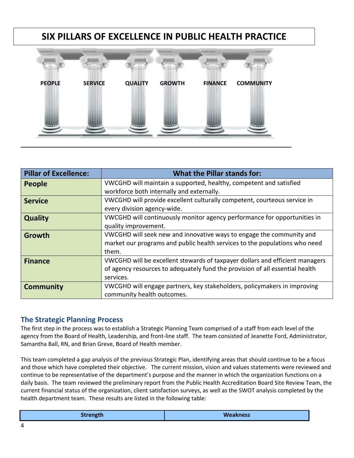# **SIX PILLARS OF EXCELLENCE IN PUBLIC HEALTH PRACTICE**



| <b>Pillar of Excellence:</b> | <b>What the Pillar stands for:</b>                                           |
|------------------------------|------------------------------------------------------------------------------|
| <b>People</b>                | VWCGHD will maintain a supported, healthy, competent and satisfied           |
|                              | workforce both internally and externally.                                    |
| <b>Service</b>               | VWCGHD will provide excellent culturally competent, courteous service in     |
|                              | every division agency-wide.                                                  |
| <b>Quality</b>               | VWCGHD will continuously monitor agency performance for opportunities in     |
|                              | quality improvement.                                                         |
| <b>Growth</b>                | VWCGHD will seek new and innovative ways to engage the community and         |
|                              | market our programs and public health services to the populations who need   |
|                              | them.                                                                        |
| <b>Finance</b>               | VWCGHD will be excellent stewards of taxpayer dollars and efficient managers |
|                              | of agency resources to adequately fund the provision of all essential health |
|                              | services.                                                                    |
| <b>Community</b>             | VWCGHD will engage partners, key stakeholders, policymakers in improving     |
|                              | community health outcomes.                                                   |

# **The Strategic Planning Process**

The first step in the process was to establish a Strategic Planning Team comprised of a staff from each level of the agency from the Board of Health, Leadership, and front-line staff. The team consisted of Jeanette Ford, Administrator, Samantha Ball, RN, and Brian Greve, Board of Health member.

This team completed a gap analysis of the previous Strategic Plan, identifying areas that should continue to be a focus and those which have completed their objective. The current mission, vision and values statements were reviewed and continue to be representative of the department's purpose and the manner in which the organization functions on a daily basis. The team reviewed the preliminary report from the Public Health Accreditation Board Site Review Team, the current financial status of the organization, client satisfaction surveys, as well as the SWOT analysis completed by the health department team. These results are listed in the following table: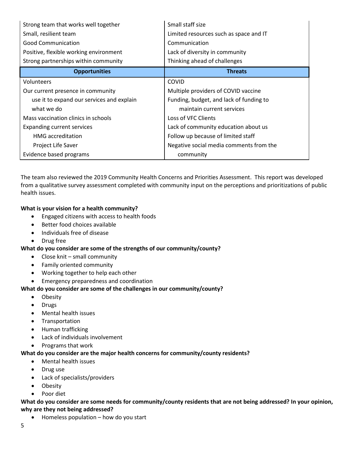| Strong team that works well together      | Small staff size                        |
|-------------------------------------------|-----------------------------------------|
| Small, resilient team                     | Limited resources such as space and IT  |
| <b>Good Communication</b>                 | Communication                           |
| Positive, flexible working environment    | Lack of diversity in community          |
| Strong partnerships within community      | Thinking ahead of challenges            |
| <b>Opportunities</b>                      | <b>Threats</b>                          |
| Volunteers                                | COVID                                   |
| Our current presence in community         | Multiple providers of COVID vaccine     |
| use it to expand our services and explain | Funding, budget, and lack of funding to |
| what we do                                | maintain current services               |
| Mass vaccination clinics in schools       | Loss of VFC Clients                     |
| <b>Expanding current services</b>         | Lack of community education about us    |
| <b>HMG</b> accreditation                  | Follow up because of limited staff      |
| Project Life Saver                        | Negative social media comments from the |
| Evidence based programs                   | community                               |

The team also reviewed the 2019 Community Health Concerns and Priorities Assessment. This report was developed from a qualitative survey assessment completed with community input on the perceptions and prioritizations of public health issues.

#### **What is your vision for a health community?**

- Engaged citizens with access to health foods
- Better food choices available
- Individuals free of disease
- Drug free

### **What do you consider are some of the strengths of our community/county?**

- Close knit small community
- Family oriented community
- Working together to help each other
- Emergency preparedness and coordination

#### **What do you consider are some of the challenges in our community/county?**

- Obesity
- Drugs
- Mental health issues
- Transportation
- Human trafficking
- Lack of individuals involvement
- Programs that work

### **What do you consider are the major health concerns for community/county residents?**

- Mental health issues
- Drug use
- Lack of specialists/providers
- Obesity
- Poor diet

#### **What do you consider are some needs for community/county residents that are not being addressed? In your opinion, why are they not being addressed?**

• Homeless population – how do you start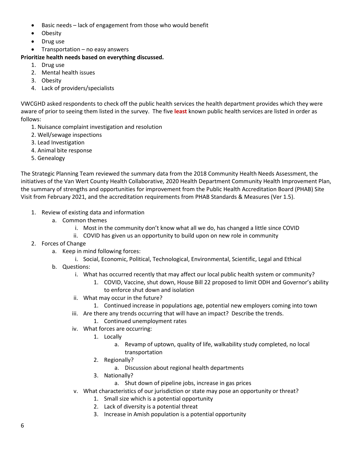- Basic needs lack of engagement from those who would benefit
- Obesity
- Drug use
- Transportation no easy answers

#### **Prioritize health needs based on everything discussed.**

- 1. Drug use
- 2. Mental health issues
- 3. Obesity
- 4. Lack of providers/specialists

VWCGHD asked respondents to check off the public health services the health department provides which they were aware of prior to seeing them listed in the survey. The five **least** known public health services are listed in order as follows:

- 1. Nuisance complaint investigation and resolution
- 2. Well/sewage inspections
- 3. Lead Investigation
- 4. Animal bite response
- 5. Genealogy

The Strategic Planning Team reviewed the summary data from the 2018 Community Health Needs Assessment, the initiatives of the Van Wert County Health Collaborative, 2020 Health Department Community Health Improvement Plan, the summary of strengths and opportunities for improvement from the Public Health Accreditation Board (PHAB) Site Visit from February 2021, and the accreditation requirements from PHAB Standards & Measures (Ver 1.5).

- 1. Review of existing data and information
	- a. Common themes
		- i. Most in the community don't know what all we do, has changed a little since COVID
		- ii. COVID has given us an opportunity to build upon on new role in community
- 2. Forces of Change
	- a. Keep in mind following forces:
		- i. Social, Economic, Political, Technological, Environmental, Scientific, Legal and Ethical
	- b. Questions:
		- i. What has occurred recently that may affect our local public health system or community?
			- 1. COVID, Vaccine, shut down, House Bill 22 proposed to limit ODH and Governor's ability to enforce shut down and isolation
		- ii. What may occur in the future?
			- 1. Continued increase in populations age, potential new employers coming into town
		- iii. Are there any trends occurring that will have an impact? Describe the trends.
			- 1. Continued unemployment rates
		- iv. What forces are occurring:
			- 1. Locally
				- a. Revamp of uptown, quality of life, walkability study completed, no local transportation
			- 2. Regionally?
				- a. Discussion about regional health departments
			- 3. Nationally?
				- a. Shut down of pipeline jobs, increase in gas prices
		- v. What characteristics of our jurisdiction or state may pose an opportunity or threat?
			- 1. Small size which is a potential opportunity
			- 2. Lack of diversity is a potential threat
			- 3. Increase in Amish population is a potential opportunity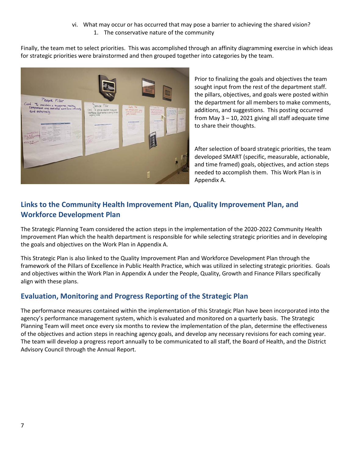#### vi. What may occur or has occurred that may pose a barrier to achieving the shared vision? 1. The conservative nature of the community

Finally, the team met to select priorities. This was accomplished through an affinity diagramming exercise in which ideas for strategic priorities were brainstormed and then grouped together into categories by the team.



Prior to finalizing the goals and objectives the team sought input from the rest of the department staff. the pillars, objectives, and goals were posted within the department for all members to make comments, additions, and suggestions. This posting occurred from May  $3 - 10$ , 2021 giving all staff adequate time to share their thoughts.

After selection of board strategic priorities, the team developed SMART (specific, measurable, actionable, and time framed) goals, objectives, and action steps needed to accomplish them. This Work Plan is in Appendix A.

# **Links to the Community Health Improvement Plan, Quality Improvement Plan, and Workforce Development Plan**

The Strategic Planning Team considered the action steps in the implementation of the 2020-2022 Community Health Improvement Plan which the health department is responsible for while selecting strategic priorities and in developing the goals and objectives on the Work Plan in Appendix A.

This Strategic Plan is also linked to the Quality Improvement Plan and Workforce Development Plan through the framework of the Pillars of Excellence in Public Health Practice, which was utilized in selecting strategic priorities. Goals and objectives within the Work Plan in Appendix A under the People, Quality, Growth and Finance Pillars specifically align with these plans.

# **Evaluation, Monitoring and Progress Reporting of the Strategic Plan**

The performance measures contained within the implementation of this Strategic Plan have been incorporated into the agency's performance management system, which is evaluated and monitored on a quarterly basis. The Strategic Planning Team will meet once every six months to review the implementation of the plan, determine the effectiveness of the objectives and action steps in reaching agency goals, and develop any necessary revisions for each coming year. The team will develop a progress report annually to be communicated to all staff, the Board of Health, and the District Advisory Council through the Annual Report.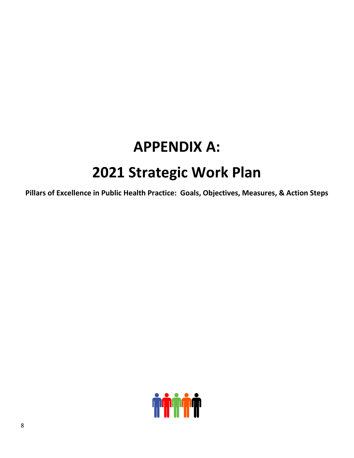# **APPENDIX A: 2021 Strategic Work Plan**

**Pillars of Excellence in Public Health Practice: Goals, Objectives, Measures, & Action Steps**

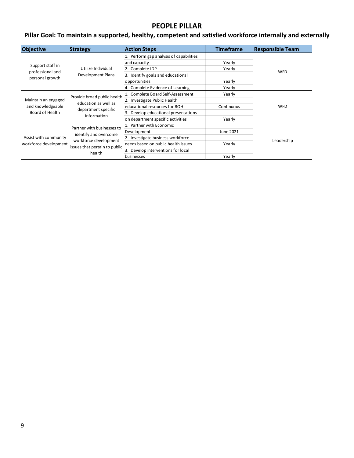# **PEOPLE PILLAR**

# **Pillar Goal: To maintain a supported, healthy, competent and satisfied workforce internally and externally**

| <b>Objective</b>                               | <b>Strategy</b>                                                                           | <b>Action Steps</b>                     | <b>Timeframe</b> | <b>Responsible Team</b> |
|------------------------------------------------|-------------------------------------------------------------------------------------------|-----------------------------------------|------------------|-------------------------|
|                                                |                                                                                           | 1. Perform gap analysis of capabilities |                  |                         |
| Support staff in                               |                                                                                           | and capacity                            | Yearly           |                         |
| professional and                               | Utilize Individual                                                                        | 2. Complete IDP                         | Yearly           | <b>WFD</b>              |
| personal growth                                | <b>Development Plans</b>                                                                  | 3. Identify goals and educational       |                  |                         |
|                                                |                                                                                           | opportunities                           | Yearly           |                         |
|                                                |                                                                                           | 4. Complete Evidence of Learning        | Yearly           |                         |
|                                                | Provide broad public health<br>education as well as<br>department specific<br>information | 1. Complete Board Self-Assessment       | Yearly           |                         |
| Maintain an engaged                            |                                                                                           | 2. Investigate Public Health            |                  |                         |
| and knowledgeable                              |                                                                                           | educational resources for BOH           | Continuous       | <b>WFD</b>              |
| Board of Health                                |                                                                                           | Develop educational presentations       |                  |                         |
|                                                |                                                                                           | on department specific activities       | Yearly           |                         |
|                                                | Partner with businesses to                                                                | 1. Partner with Economic                |                  |                         |
| Assist with community<br>workforce development | identify and overcome<br>workforce development<br>issues that pertain to public<br>health | Development                             | June 2021        |                         |
|                                                |                                                                                           | 2. Investigate business workforce       |                  | Leadership              |
|                                                |                                                                                           | needs based on public health issues     | Yearly           |                         |
|                                                |                                                                                           | Develop interventions for local         |                  |                         |
|                                                |                                                                                           | businesses                              | Yearly           |                         |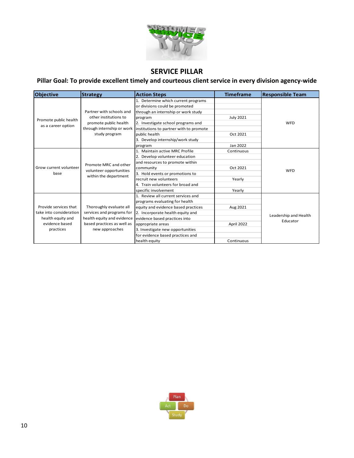

# **SERVICE PILLAR**

# **Pillar Goal: To provide excellent timely and courteous client service in every division agency-wide**

| <b>Objective</b>        | <b>Strategy</b>            | <b>Action Steps</b>                     | <b>Timeframe</b> | <b>Responsible Team</b> |
|-------------------------|----------------------------|-----------------------------------------|------------------|-------------------------|
|                         |                            | 1. Determine which current programs     |                  |                         |
|                         |                            | or divisions could be promoted          |                  |                         |
|                         | Partner with schools and   | through an internship or work study     |                  |                         |
| Promote public health   | other institutions to      | program                                 | <b>July 2021</b> |                         |
|                         | promote public health      | 2. Investigate school programs and      |                  | WFD                     |
| as a career option      | through internship or work | institutions to partner with to promote |                  |                         |
|                         | study program              | public health                           | Oct 2021         |                         |
|                         |                            | 3. Develop internship/work study        |                  |                         |
|                         |                            | program                                 | Jan 2022         |                         |
|                         |                            | 1. Maintain active MRC Profile          | Continuous       |                         |
|                         |                            | 2. Develop volunteer education          |                  |                         |
|                         | Promote MRC and other      | and resources to promote within         |                  |                         |
| Grow current volunteer  | volunteer opportunities    | community                               | Oct 2021         | WFD                     |
| base                    | within the department      | 3. Hold events or promotions to         |                  |                         |
|                         |                            | recruit new volunteers                  | Yearly           |                         |
|                         |                            | 4. Train volunteers for broad and       |                  |                         |
|                         |                            | specific involvement                    | Yearly           |                         |
|                         |                            | 1. Review all current services and      |                  |                         |
|                         |                            | programs evaluating for health          |                  |                         |
| Provide services that   | Thoroughly evaluate all    | equity and evidence based practices     | Aug 2021         |                         |
| take into consideration | services and programs for  | 2. Incorporate health equity and        |                  | Leadership and Health   |
| health equity and       | health equity and evidence | evidence based practices into           |                  | Educator                |
| evidence based          | based practices as well as | appropriate areas                       | April 2022       |                         |
| practices               | new approaches             | 3. Investigate new opportunities        |                  |                         |
|                         |                            | for evidence based practices and        |                  |                         |
|                         |                            | health equity                           | Continuous       |                         |

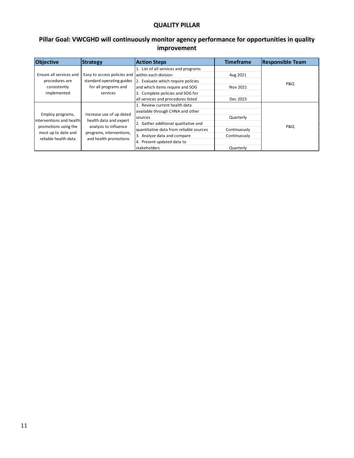## **QUALITY PILLAR**

# **Pillar Goal: VWCGHD will continuously monitor agency performance for opportunities in quality improvement**

| <b>Objective</b>          | <b>Strategy</b>             | <b>Action Steps</b>                     | <b>Timeframe</b> | <b>Responsible Team</b> |
|---------------------------|-----------------------------|-----------------------------------------|------------------|-------------------------|
|                           |                             | 1. List of all services and programs    |                  |                         |
| Ensure all services and   | Easy to access policies and | within each division                    | Aug 2021         |                         |
| procedures are            | standard operating guides   | 2. Evaluate which require policies      |                  | <b>P&amp;Q</b>          |
| consistently              | for all programs and        | and which items require and SOG         | Nov 2021         |                         |
| implemented               | services                    | Complete policies and SOG for<br>3.     |                  |                         |
|                           |                             | all services and procedures listed      | Dec 2023         |                         |
|                           |                             | 1. Review current health data           |                  |                         |
| Employ programs,          | Increase use of up dated    | available through CHNA and other        |                  |                         |
| linterventions and health | health data and expert      | sources                                 | Quarterly        |                         |
| promotions using the      | analysis to influence       | 2. Gather additional qualitative and    |                  | <b>P&amp;Q</b>          |
| most up to date and       | programs, interventions,    | quantitative data from reliable sources | Continuously     |                         |
| reliable health data      | and health promotions       | 3. Analyze data and compare             | Continuously     |                         |
|                           |                             | Present updated data to                 |                  |                         |
|                           |                             | stakeholders                            | Quarterly        |                         |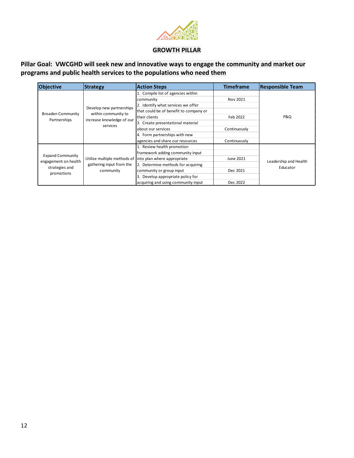

#### **GROWTH PILLAR**

**Pillar Goal: VWCGHD will seek new and innovative ways to engage the community and market our programs and public health services to the populations who need them**

| <b>Objective</b>                                                                | <b>Strategy</b>                                                      | <b>Action Steps</b>                    | <b>Timeframe</b> | <b>Responsible Team</b>           |
|---------------------------------------------------------------------------------|----------------------------------------------------------------------|----------------------------------------|------------------|-----------------------------------|
|                                                                                 |                                                                      | 1. Compile list of agencies within     |                  |                                   |
|                                                                                 |                                                                      | community                              | Nov 2021         |                                   |
|                                                                                 | Develop new partnerships                                             | 2. Identify what services we offer     |                  |                                   |
| Broaden Community                                                               | within community to                                                  | that could be of benefit to company or |                  |                                   |
|                                                                                 |                                                                      | their clients                          | Feb 2022         | P&Q                               |
| Partnerships                                                                    | increase knowledge of our<br>services                                | 3. Create presentational material      |                  |                                   |
|                                                                                 |                                                                      | about our services                     | Continuously     |                                   |
|                                                                                 |                                                                      | 4. Form partnerships with new          |                  |                                   |
|                                                                                 |                                                                      | agencies and share our resources       | Continuously     |                                   |
|                                                                                 |                                                                      | 1. Review health promotion             |                  |                                   |
| <b>Expand Community</b><br>engagement on health<br>strategies and<br>promotions | Utilize multiple methods of<br>gathering input from the<br>community | framework adding community input       |                  |                                   |
|                                                                                 |                                                                      | into plan where appropriate            | June 2021        |                                   |
|                                                                                 |                                                                      | 2. Determine methods for acquiring     |                  | Leadership and Health<br>Educator |
|                                                                                 |                                                                      | community or group input               | Dec 2021         |                                   |
|                                                                                 |                                                                      | 3. Develop appropriate policy for      |                  |                                   |
|                                                                                 |                                                                      | acquiring and using community input    | Dec 2022         |                                   |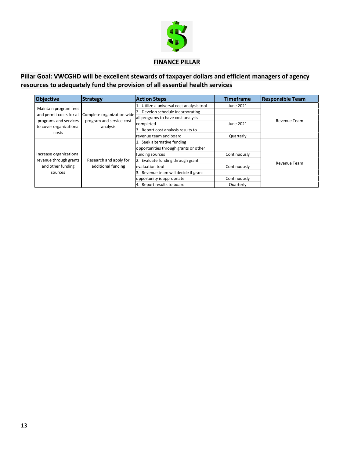

#### **FINANCE PILLAR**

# **Pillar Goal: VWCGHD will be excellent stewards of taxpayer dollars and efficient managers of agency resources to adequately fund the provision of all essential health services**

| <b>Objective</b>        | <b>Strategy</b>                                     | <b>Action Steps</b>                    | <b>Timeframe</b> | <b>Responsible Team</b> |
|-------------------------|-----------------------------------------------------|----------------------------------------|------------------|-------------------------|
| Maintain program fees   |                                                     | Utilize a universal cost analysis tool | June 2021        |                         |
|                         | and permit costs for all Complete organization wide | Develop schedule incorporating         |                  |                         |
| programs and services   | program and service cost                            | all programs to have cost analysis     |                  | Revenue Team            |
|                         |                                                     | completed                              | June 2021        |                         |
| to cover organizational | analysis                                            | 3. Report cost analysis results to     |                  |                         |
| costs                   |                                                     | revenue team and board                 | Quarterly        |                         |
|                         |                                                     | 1. Seek alternative funding            |                  |                         |
|                         |                                                     | opportunities through grants or other  |                  |                         |
| Increase organizational |                                                     | funding sources                        | Continuously     |                         |
| revenue through grants  | Research and apply for                              | 2. Evaluate funding through grant      |                  | Revenue Team            |
| and other funding       | additional funding                                  | evaluation tool                        | Continuously     |                         |
| sources                 |                                                     | 3. Revenue team will decide if grant   |                  |                         |
|                         |                                                     | opportunity is appropriate             | Continuously     |                         |
|                         |                                                     | 4. Report results to board             | Quarterly        |                         |